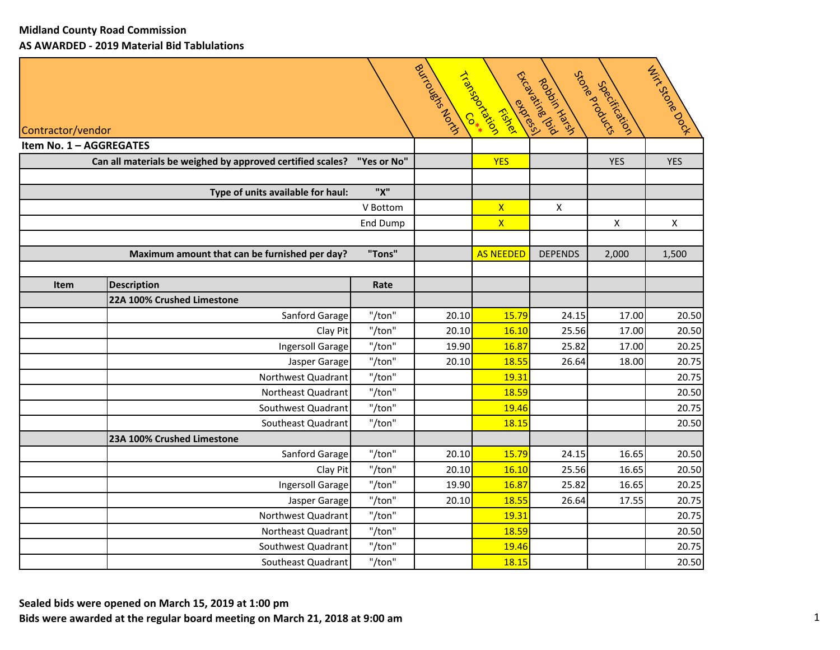|                         |                                                            |             | Boundary Lough | Triarcachas<br>Fiskel   | Ethography<br>RODSIC YOU'LL BELLEVILLE | Store & opposite<br>Specification | THIS STORE DOOR |
|-------------------------|------------------------------------------------------------|-------------|----------------|-------------------------|----------------------------------------|-----------------------------------|-----------------|
| Contractor/vendor       |                                                            |             |                |                         |                                        |                                   |                 |
| Item No. 1 - AGGREGATES |                                                            |             |                |                         |                                        |                                   |                 |
|                         | Can all materials be weighed by approved certified scales? | "Yes or No" |                | <b>YES</b>              |                                        | <b>YES</b>                        | <b>YES</b>      |
|                         | Type of units available for haul:                          | "X"         |                |                         |                                        |                                   |                 |
|                         |                                                            | V Bottom    |                | $\mathsf{X}$            | $\mathsf{X}$                           |                                   |                 |
|                         |                                                            | End Dump    |                | $\overline{\mathsf{x}}$ |                                        | $\pmb{\times}$                    | $\mathsf{X}$    |
|                         |                                                            |             |                |                         |                                        |                                   |                 |
|                         | Maximum amount that can be furnished per day?              | "Tons"      |                | <b>AS NEEDED</b>        | <b>DEPENDS</b>                         | 2,000                             | 1,500           |
|                         |                                                            |             |                |                         |                                        |                                   |                 |
| <b>Item</b>             | <b>Description</b>                                         | Rate        |                |                         |                                        |                                   |                 |
|                         | 22A 100% Crushed Limestone                                 |             |                |                         |                                        |                                   |                 |
|                         | Sanford Garage                                             | "/ton"      | 20.10          | 15.79                   | 24.15                                  | 17.00                             | 20.50           |
|                         | Clay Pit                                                   | "/ton"      | 20.10          | 16.10                   | 25.56                                  | 17.00                             | 20.50           |
|                         | Ingersoll Garage                                           | "/ton"      | 19.90          | 16.87                   | 25.82                                  | 17.00                             | 20.25           |
|                         | Jasper Garage                                              | "/ton"      | 20.10          | 18.55                   | 26.64                                  | 18.00                             | 20.75           |
|                         | Northwest Quadrant                                         | "/ton"      |                | 19.31                   |                                        |                                   | 20.75           |
|                         | Northeast Quadrant                                         | "/ton"      |                | 18.59                   |                                        |                                   | 20.50           |
|                         | Southwest Quadrant                                         | "/ton"      |                | 19.46                   |                                        |                                   | 20.75           |
|                         | Southeast Quadrant                                         | "/ton"      |                | 18.15                   |                                        |                                   | 20.50           |
|                         | 23A 100% Crushed Limestone                                 |             |                |                         |                                        |                                   |                 |
|                         | Sanford Garage                                             | "/ton"      | 20.10          | 15.79                   | 24.15                                  | 16.65                             | 20.50           |
|                         | Clay Pit                                                   | "/ton"      | 20.10          | 16.10                   | 25.56                                  | 16.65                             | 20.50           |
|                         | Ingersoll Garage                                           | "/ton"      | 19.90          | 16.87                   | 25.82                                  | 16.65                             | 20.25           |
|                         | Jasper Garage                                              | "/ton"      | 20.10          | 18.55                   | 26.64                                  | 17.55                             | 20.75           |
|                         | Northwest Quadrant                                         | "/ton"      |                | 19.31                   |                                        |                                   | 20.75           |
|                         | Northeast Quadrant                                         | "/ton"      |                | 18.59                   |                                        |                                   | 20.50           |
|                         | Southwest Quadrant                                         | "/ton"      |                | 19.46                   |                                        |                                   | 20.75           |
|                         | Southeast Quadrant                                         | "/ton"      |                | 18.15                   |                                        |                                   | 20.50           |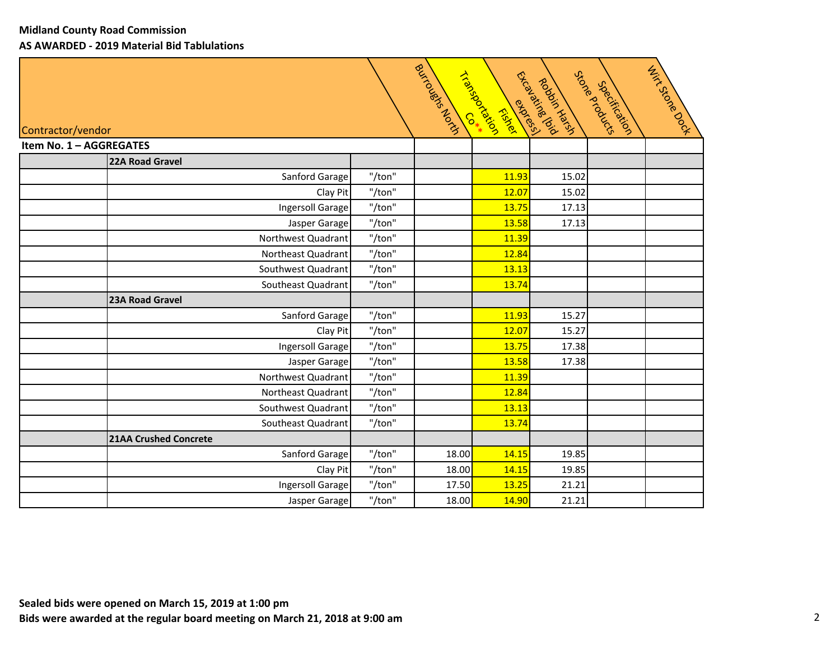|                              |        | Boundary Lough | Triansportal<br>express<br>Fiskel | Thomas River<br>Robotic Harsh | Store Rrogues<br>Specification | Hirkstore Doop |
|------------------------------|--------|----------------|-----------------------------------|-------------------------------|--------------------------------|----------------|
| Contractor/vendor            |        |                |                                   |                               |                                |                |
| Item No. 1 - AGGREGATES      |        |                |                                   |                               |                                |                |
| 22A Road Gravel              |        |                |                                   |                               |                                |                |
| Sanford Garage               | "/ton" |                | 11.93                             | 15.02                         |                                |                |
| Clay Pit                     | "/ton" |                | 12.07                             | 15.02                         |                                |                |
| Ingersoll Garage             | "/ton" |                | 13.75                             | 17.13                         |                                |                |
| Jasper Garage                | "/ton" |                | 13.58                             | 17.13                         |                                |                |
| Northwest Quadrant           | "/ton" |                | 11.39                             |                               |                                |                |
| Northeast Quadrant           | "/ton" |                | 12.84                             |                               |                                |                |
| Southwest Quadrant           | "/ton" |                | 13.13                             |                               |                                |                |
| Southeast Quadrant           | "/ton" |                | 13.74                             |                               |                                |                |
| 23A Road Gravel              |        |                |                                   |                               |                                |                |
| Sanford Garage               | "/ton" |                | 11.93                             | 15.27                         |                                |                |
| Clay Pit                     | "/ton" |                | 12.07                             | 15.27                         |                                |                |
| <b>Ingersoll Garage</b>      | "/ton" |                | 13.75                             | 17.38                         |                                |                |
| Jasper Garage                | "/ton" |                | 13.58                             | 17.38                         |                                |                |
| Northwest Quadrant           | "/ton" |                | 11.39                             |                               |                                |                |
| Northeast Quadrant           | "/ton" |                | 12.84                             |                               |                                |                |
| Southwest Quadrant           | "/ton" |                | 13.13                             |                               |                                |                |
| Southeast Quadrant           | "/ton" |                | 13.74                             |                               |                                |                |
| <b>21AA Crushed Concrete</b> |        |                |                                   |                               |                                |                |
| Sanford Garage               | "/ton" | 18.00          | 14.15                             | 19.85                         |                                |                |
| Clay Pit                     | "/ton" | 18.00          | 14.15                             | 19.85                         |                                |                |
| Ingersoll Garage             | "/ton" | 17.50          | 13.25                             | 21.21                         |                                |                |
| Jasper Garage                | "/ton" | 18.00          | 14.90                             | 21.21                         |                                |                |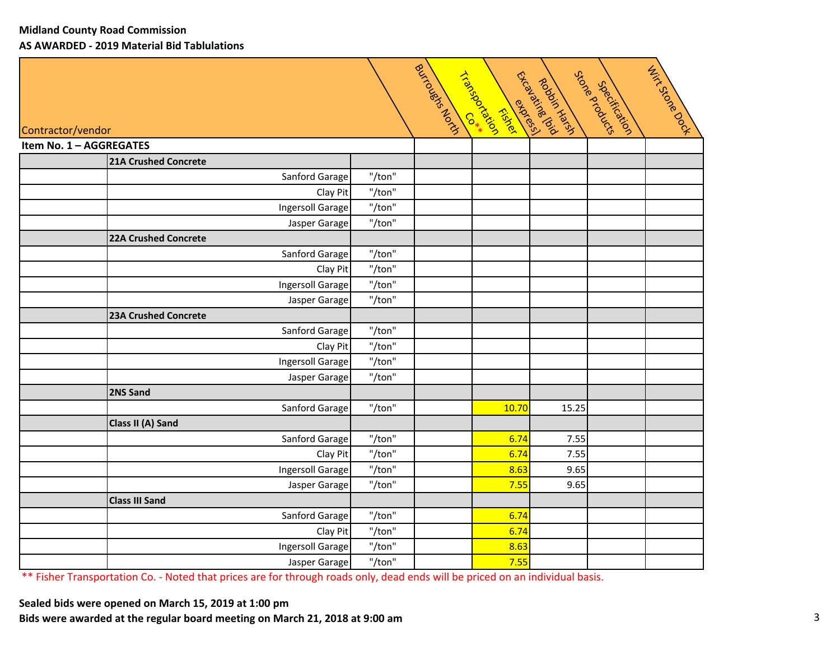|                         |                             |                  | Button Road String | Tracked Co. 4<br>ESSA DES<br>Fiskel | Extravalable 12<br>Againstance | Store Rrogance<br>Specification | THIT'S STORE DOOR |
|-------------------------|-----------------------------|------------------|--------------------|-------------------------------------|--------------------------------|---------------------------------|-------------------|
| Contractor/vendor       |                             |                  |                    |                                     |                                |                                 |                   |
| Item No. 1 - AGGREGATES | <b>21A Crushed Concrete</b> |                  |                    |                                     |                                |                                 |                   |
|                         | Sanford Garage              | "/ton"           |                    |                                     |                                |                                 |                   |
|                         | Clay Pit                    | "/ton"           |                    |                                     |                                |                                 |                   |
|                         | Ingersoll Garage            | "/ton"           |                    |                                     |                                |                                 |                   |
|                         | Jasper Garage               | "/ton"           |                    |                                     |                                |                                 |                   |
|                         | <b>22A Crushed Concrete</b> |                  |                    |                                     |                                |                                 |                   |
|                         | Sanford Garage              | "/ton"           |                    |                                     |                                |                                 |                   |
|                         | Clay Pit                    | "/ton"           |                    |                                     |                                |                                 |                   |
|                         | Ingersoll Garage            | "/ton"           |                    |                                     |                                |                                 |                   |
|                         | Jasper Garage               | "/ton"           |                    |                                     |                                |                                 |                   |
|                         | <b>23A Crushed Concrete</b> |                  |                    |                                     |                                |                                 |                   |
|                         | Sanford Garage              | "/ton"           |                    |                                     |                                |                                 |                   |
|                         | Clay Pit                    | "/ton"           |                    |                                     |                                |                                 |                   |
|                         | Ingersoll Garage            | "/ton"           |                    |                                     |                                |                                 |                   |
|                         | Jasper Garage               | "/ton"           |                    |                                     |                                |                                 |                   |
|                         | 2NS Sand                    |                  |                    |                                     |                                |                                 |                   |
|                         | Sanford Garage              | "/ton"           |                    | 10.70                               | 15.25                          |                                 |                   |
|                         | Class II (A) Sand           |                  |                    |                                     |                                |                                 |                   |
|                         | Sanford Garage              | "/ton"           |                    | 6.74                                | 7.55                           |                                 |                   |
|                         | Clay Pit                    | "/ton"           |                    | 6.74                                | 7.55                           |                                 |                   |
|                         | Ingersoll Garage            | "/ton"           |                    | 8.63                                | 9.65                           |                                 |                   |
|                         | Jasper Garage               | "/ton"           |                    | 7.55                                | 9.65                           |                                 |                   |
|                         | <b>Class III Sand</b>       |                  |                    |                                     |                                |                                 |                   |
|                         | Sanford Garage              | "/ton"           |                    | 6.74<br>6.74                        |                                |                                 |                   |
|                         | Clay Pit                    | "/ton"<br>"/ton" |                    | 8.63                                |                                |                                 |                   |
|                         | Ingersoll Garage            | "/ton"           |                    | 7.55                                |                                |                                 |                   |
|                         | Jasper Garage               |                  |                    |                                     |                                |                                 |                   |

\*\* Fisher Transportation Co. ‐ Noted that prices are for through roads only, dead ends will be priced on an individual basis.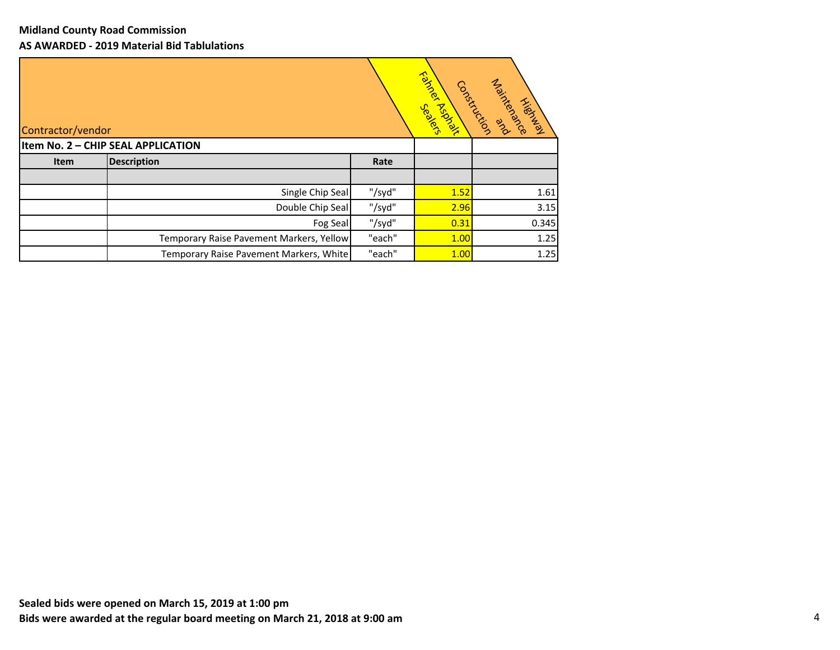| Contractor/vendor |                                          |        | Fairles Racher<br>Jechicks | Maintenance<br>Construction and<br><b>Highway</b> |
|-------------------|------------------------------------------|--------|----------------------------|---------------------------------------------------|
|                   | Item No. 2 - CHIP SEAL APPLICATION       |        |                            |                                                   |
| Item              | <b>Description</b>                       | Rate   |                            |                                                   |
|                   |                                          |        |                            |                                                   |
|                   | Single Chip Seal                         | "/syd" | 1.52                       | 1.61                                              |
|                   | Double Chip Seal                         | "/syd" | 2.96                       | 3.15                                              |
|                   | Fog Seal                                 | "/syd" | 0.31                       | 0.345                                             |
|                   | Temporary Raise Pavement Markers, Yellow | "each" | 1.00                       | 1.25                                              |
|                   | Temporary Raise Pavement Markers, White  | "each" | 1.00                       | 1.25                                              |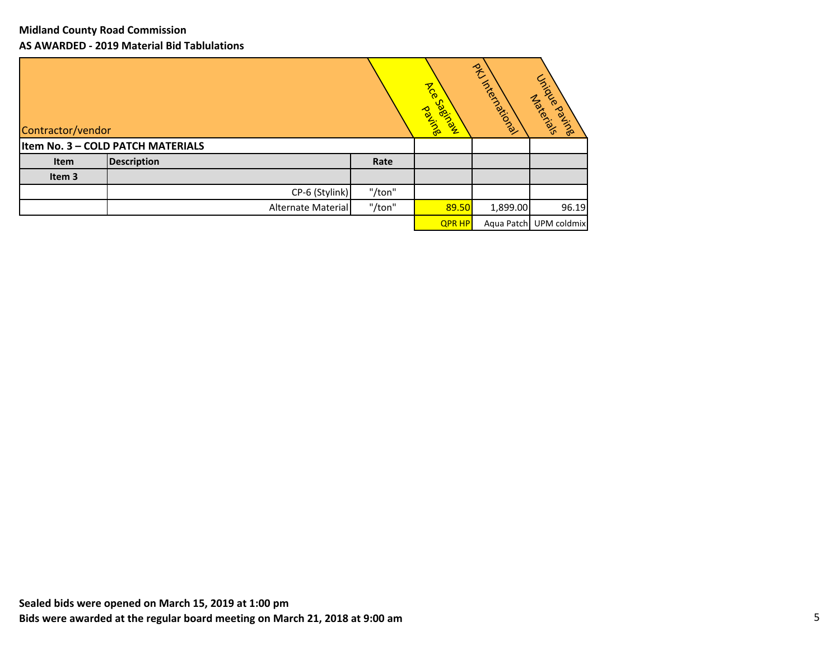| Contractor/vendor |                                   |        | <b>ASC</b><br>Coecice R<br><b>Position</b> | ACTIONATION | Unitidade Parisine<br>Maxerials |
|-------------------|-----------------------------------|--------|--------------------------------------------|-------------|---------------------------------|
|                   | Item No. 3 - COLD PATCH MATERIALS |        |                                            |             |                                 |
| Item              | <b>Description</b>                | Rate   |                                            |             |                                 |
| Item 3            |                                   |        |                                            |             |                                 |
|                   | CP-6 (Stylink)                    | "/ton" |                                            |             |                                 |
|                   | Alternate Material                | "/ton" | 89.50                                      | 1,899.00    | 96.19                           |
|                   |                                   |        | <b>QPR HP</b>                              | Aqua Patch  | UPM coldmix                     |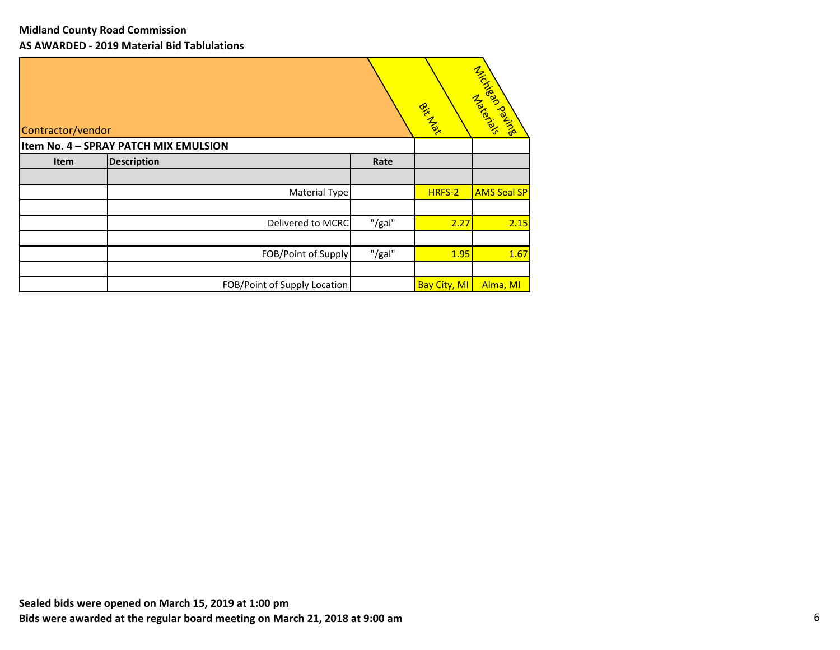| Contractor/vendor |                                       |        | Bitcher             | Microsoft Makers   |
|-------------------|---------------------------------------|--------|---------------------|--------------------|
|                   | Item No. 4 - SPRAY PATCH MIX EMULSION |        |                     |                    |
| Item              | <b>Description</b>                    | Rate   |                     |                    |
|                   |                                       |        |                     |                    |
|                   | Material Type                         |        | HRFS-2              | <b>AMS Seal SP</b> |
|                   |                                       |        |                     |                    |
|                   | Delivered to MCRC                     | "/gal" | 2.27                | 2.15               |
|                   |                                       |        |                     |                    |
|                   | FOB/Point of Supply                   | "/gal" | 1.95                | 1.67               |
|                   |                                       |        |                     |                    |
|                   | FOB/Point of Supply Location          |        | <b>Bay City, MI</b> | Alma, MI           |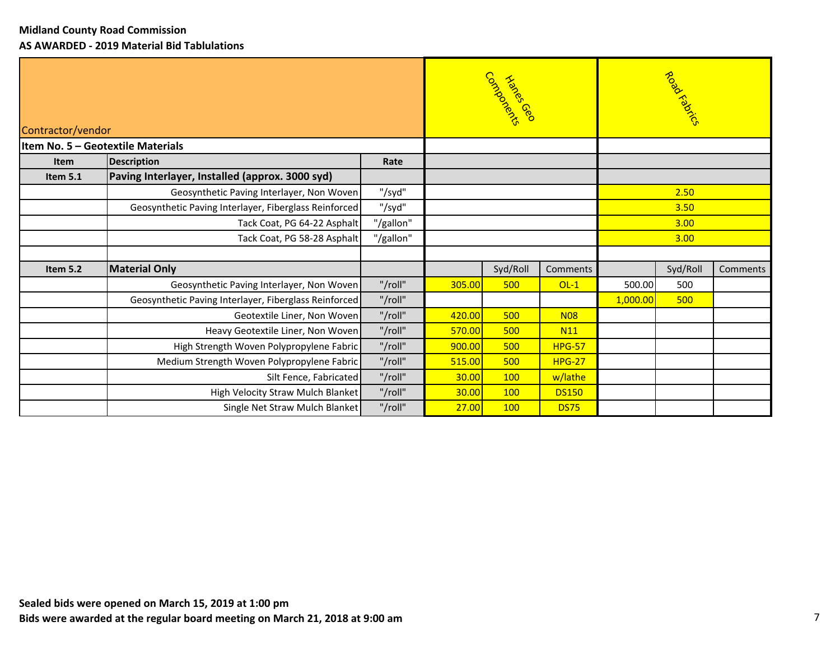| Contractor/vendor | Item No. 5 - Geotextile Materials                     |           |        | Corner de Richard |               |          | Road Radics |          |      |  |
|-------------------|-------------------------------------------------------|-----------|--------|-------------------|---------------|----------|-------------|----------|------|--|
| <b>Item</b>       | <b>Description</b>                                    | Rate      |        |                   |               |          |             |          |      |  |
| Item 5.1          | Paving Interlayer, Installed (approx. 3000 syd)       |           |        |                   |               |          |             |          |      |  |
|                   | Geosynthetic Paving Interlayer, Non Woven             | "/syd"    |        |                   |               |          |             |          | 2.50 |  |
|                   | Geosynthetic Paving Interlayer, Fiberglass Reinforced | "/syd"    |        |                   |               | 3.50     |             |          |      |  |
|                   | Tack Coat, PG 64-22 Asphalt                           | "/gallon" |        |                   | 3.00          |          |             |          |      |  |
|                   | Tack Coat, PG 58-28 Asphalt                           | "/gallon" |        |                   | 3.00          |          |             |          |      |  |
|                   |                                                       |           |        |                   |               |          |             |          |      |  |
| Item 5.2          | <b>Material Only</b>                                  |           |        | Syd/Roll          | Comments      |          | Syd/Roll    | Comments |      |  |
|                   | Geosynthetic Paving Interlayer, Non Woven             | "/roll"   | 305.00 | 500               | $OL-1$        | 500.00   | 500         |          |      |  |
|                   | Geosynthetic Paving Interlayer, Fiberglass Reinforced | "/roll"   |        |                   |               | 1,000.00 | 500         |          |      |  |
|                   | Geotextile Liner, Non Woven                           | "/roll"   | 420.00 | 500               | <b>N08</b>    |          |             |          |      |  |
|                   | Heavy Geotextile Liner, Non Woven                     | "/roll"   | 570.00 | 500               | <b>N11</b>    |          |             |          |      |  |
|                   | High Strength Woven Polypropylene Fabric              | "/roll"   | 900.00 | 500               | <b>HPG-57</b> |          |             |          |      |  |
|                   | Medium Strength Woven Polypropylene Fabric            | "/roll"   | 515.00 | 500               | <b>HPG-27</b> |          |             |          |      |  |
|                   | Silt Fence, Fabricated                                | "/roll"   | 30.00  | <b>100</b>        | w/lathe       |          |             |          |      |  |
|                   | High Velocity Straw Mulch Blanket                     | "/roll"   | 30.00  | 100               | <b>DS150</b>  |          |             |          |      |  |
|                   | Single Net Straw Mulch Blanket                        | "/roll"   | 27.00  | <b>100</b>        | <b>DS75</b>   |          |             |          |      |  |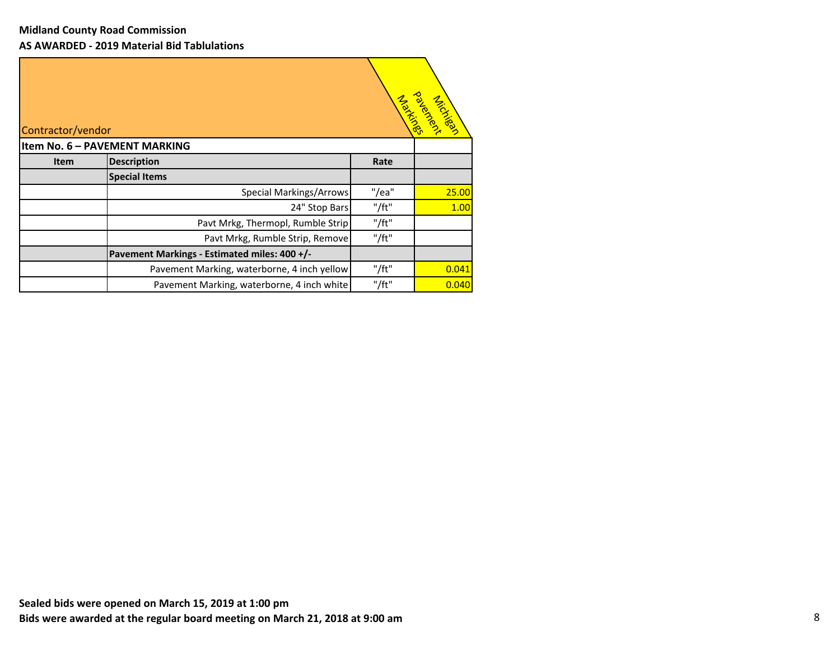| Contractor/vendor |                                              |             | <b>Zole Marshall</b> |
|-------------------|----------------------------------------------|-------------|----------------------|
|                   | Item No. 6 - PAVEMENT MARKING                |             |                      |
| <b>Item</b>       | <b>Description</b>                           | Rate        |                      |
|                   | <b>Special Items</b>                         |             |                      |
|                   | <b>Special Markings/Arrows</b>               | "/ea"       | 25.00                |
|                   | 24" Stop Bars                                | $"$ /ft $"$ | 1.00                 |
|                   | Pavt Mrkg, Thermopl, Rumble Strip            | "/ft"       |                      |
|                   | Pavt Mrkg, Rumble Strip, Remove              | $"$ /ft $"$ |                      |
|                   | Pavement Markings - Estimated miles: 400 +/- |             |                      |
|                   | Pavement Marking, waterborne, 4 inch yellow  | "/ft"       | 0.041                |
|                   | Pavement Marking, waterborne, 4 inch white   | "/ft"       | 0.040                |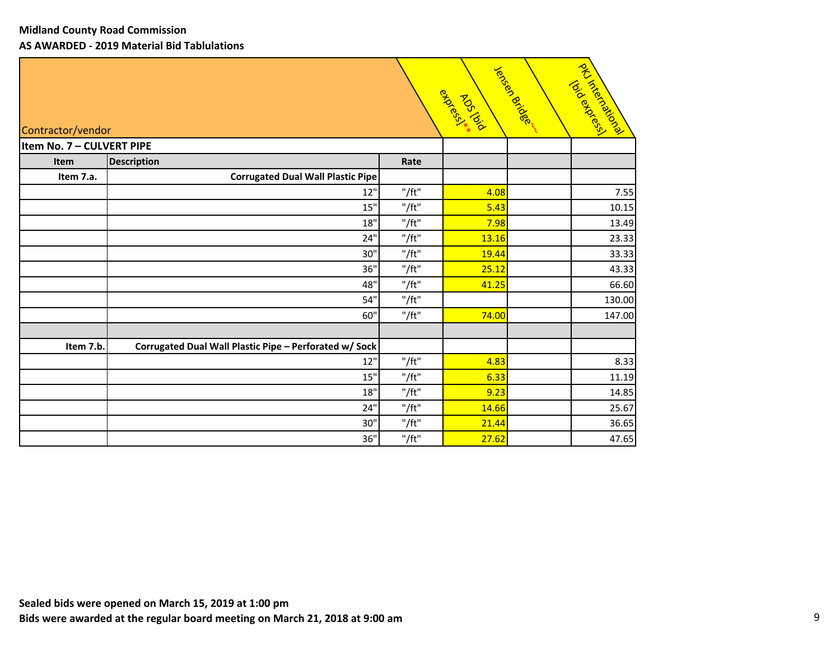| Contractor/vendor         |                                                        |             | Bridance | Jensee Bridger | l of 1/2 rice reserved<br>TOIR BOSTON |
|---------------------------|--------------------------------------------------------|-------------|----------|----------------|---------------------------------------|
| Item No. 7 - CULVERT PIPE |                                                        |             |          |                |                                       |
| Item                      | <b>Description</b>                                     | Rate        |          |                |                                       |
| Item 7.a.                 | <b>Corrugated Dual Wall Plastic Pipe</b>               |             |          |                |                                       |
|                           | 12"                                                    | "/ft"       | 4.08     |                | 7.55                                  |
|                           | 15"                                                    | $"$ /ft $"$ | 5.43     |                | 10.15                                 |
|                           | 18"                                                    | $"$ /ft $"$ | 7.98     |                | 13.49                                 |
|                           | 24"                                                    | $"$ /ft $"$ | 13.16    |                | 23.33                                 |
|                           | 30"                                                    | $"$ /ft $"$ | 19.44    |                | 33.33                                 |
|                           | 36"                                                    | $"$ /ft $"$ | 25.12    |                | 43.33                                 |
|                           | 48"                                                    | $"$ /ft $"$ | 41.25    |                | 66.60                                 |
|                           | 54"                                                    | $"$ /ft $"$ |          |                | 130.00                                |
|                           | 60"                                                    | $"$ /ft $"$ | 74.00    |                | 147.00                                |
|                           |                                                        |             |          |                |                                       |
| Item 7.b.                 | Corrugated Dual Wall Plastic Pipe - Perforated w/ Sock |             |          |                |                                       |
|                           | 12"                                                    | $"$ /ft $"$ | 4.83     |                | 8.33                                  |
|                           | 15"                                                    | "/ft"       | 6.33     |                | 11.19                                 |
|                           | 18"                                                    | "/ft"       | 9.23     |                | 14.85                                 |
|                           | 24"                                                    | "/ft"       | 14.66    |                | 25.67                                 |
|                           | 30"                                                    | $"$ /ft $"$ | 21.44    |                | 36.65                                 |
|                           | 36"                                                    | "/ft"       | 27.62    |                | 47.65                                 |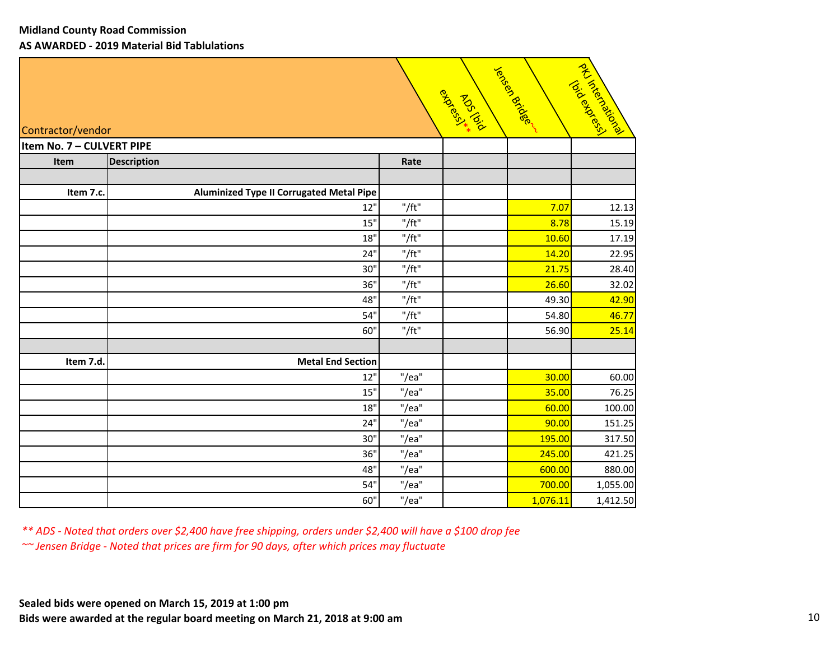| Contractor/vendor         |                                                 |             | Riotorial Riotorial | Jected Bridge | I Aristorials<br>TON BOOKS |
|---------------------------|-------------------------------------------------|-------------|---------------------|---------------|----------------------------|
| Item No. 7 - CULVERT PIPE |                                                 |             |                     |               |                            |
| Item                      | <b>Description</b>                              | Rate        |                     |               |                            |
|                           |                                                 |             |                     |               |                            |
| Item 7.c.                 | <b>Aluminized Type II Corrugated Metal Pipe</b> |             |                     |               |                            |
|                           | 12"                                             | "/ft"       |                     | 7.07          | 12.13                      |
|                           | 15"                                             | "/ft"       |                     | 8.78          | 15.19                      |
|                           | 18"                                             | "/ft"       |                     | 10.60         | 17.19                      |
|                           | 24"                                             | "/ft"       |                     | 14.20         | 22.95                      |
|                           | 30"                                             | "/ft"       |                     | 21.75         | 28.40                      |
|                           | 36"                                             | "/ft"       |                     | 26.60         | 32.02                      |
|                           | 48"                                             | "/ft"       |                     | 49.30         | 42.90                      |
|                           | 54"                                             | "/ft"       |                     | 54.80         | 46.77                      |
|                           | 60"                                             | $"$ /ft $"$ |                     | 56.90         | 25.14                      |
|                           |                                                 |             |                     |               |                            |
| Item 7.d.                 | <b>Metal End Section</b>                        |             |                     |               |                            |
|                           | 12"                                             | "/ea"       |                     | 30.00         | 60.00                      |
|                           | 15"                                             | "/ea"       |                     | 35.00         | 76.25                      |
|                           | 18"                                             | "/ea"       |                     | 60.00         | 100.00                     |
|                           | 24"                                             | "/ea"       |                     | 90.00         | 151.25                     |
|                           | 30"                                             | "/ea"       |                     | 195.00        | 317.50                     |
|                           | 36"                                             | "/ea"       |                     | 245.00        | 421.25                     |
|                           | 48"                                             | "/ea"       |                     | 600.00        | 880.00                     |
|                           | 54"                                             | "/ea"       |                     | 700.00        | 1,055.00                   |
|                           | 60"                                             | "/ea"       |                     | 1,076.11      | 1,412.50                   |

*\*\* ADS ‐ Noted that orders over \$2,400 have free shipping, orders under \$2,400 will have a \$100 drop fee ~~ Jensen Bridge ‐ Noted that prices are firm for 90 days, after which prices may fluctuate*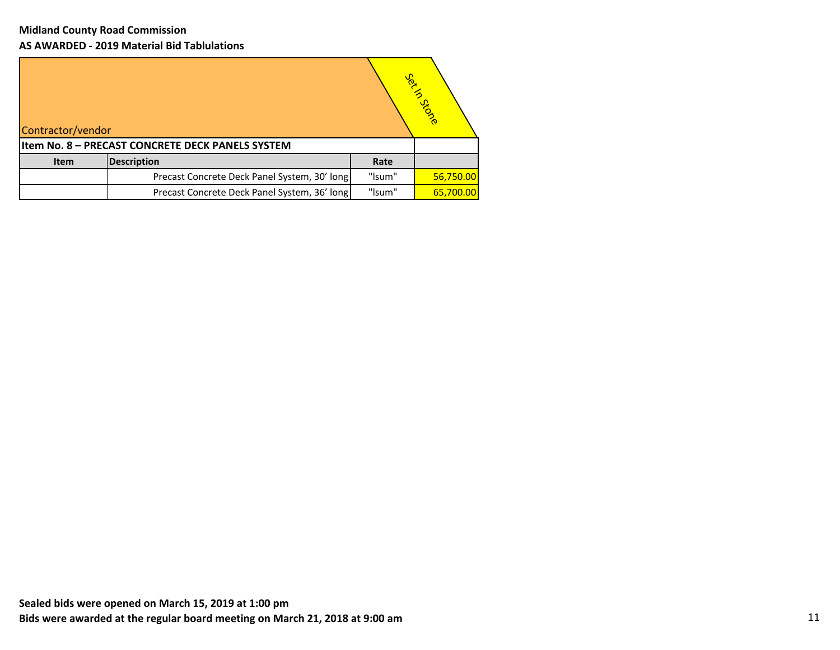| Contractor/vendor |                                                  |        | Set in Stone |
|-------------------|--------------------------------------------------|--------|--------------|
|                   | Item No. 8 - PRECAST CONCRETE DECK PANELS SYSTEM |        |              |
| <b>Item</b>       | <b>Description</b>                               | Rate   |              |
|                   | Precast Concrete Deck Panel System, 30' long     | "Isum" | 56,750.00    |
|                   | Precast Concrete Deck Panel System, 36' long     | "Isum" | 65,700.00    |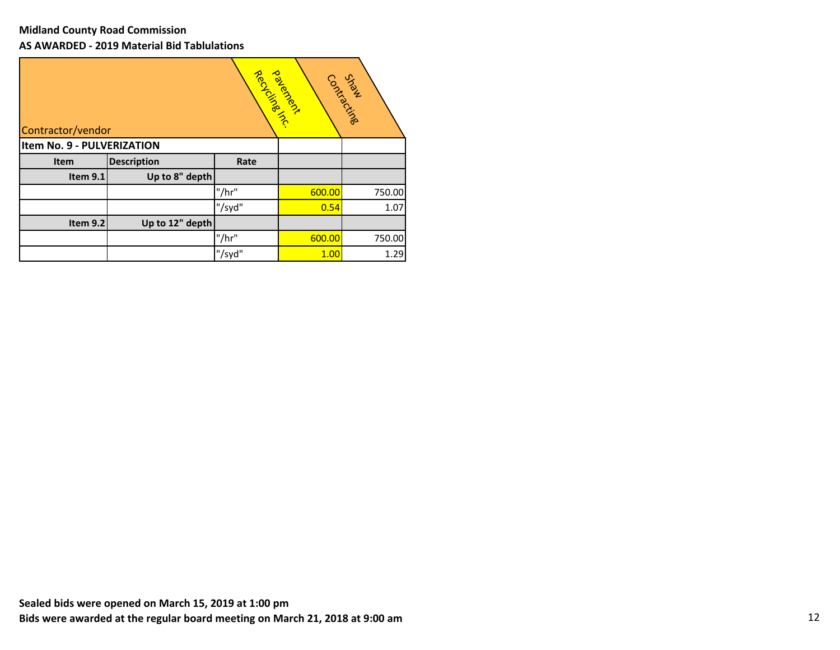| Contractor/vendor          |                    |        | Reck River | Courisement |
|----------------------------|--------------------|--------|------------|-------------|
| Item No. 9 - PULVERIZATION |                    |        |            |             |
| Item                       | <b>Description</b> | Rate   |            |             |
| Item 9.1                   | Up to 8" depth     |        |            |             |
|                            |                    | "/hr"  | 600.00     | 750.00      |
|                            |                    | "/syd" | 0.54       | 1.07        |
| Item 9.2                   | Up to 12" depth    |        |            |             |
|                            |                    | "/hr"  | 600.00     | 750.00      |
|                            |                    | "/syd" | 1.00       | 1.29        |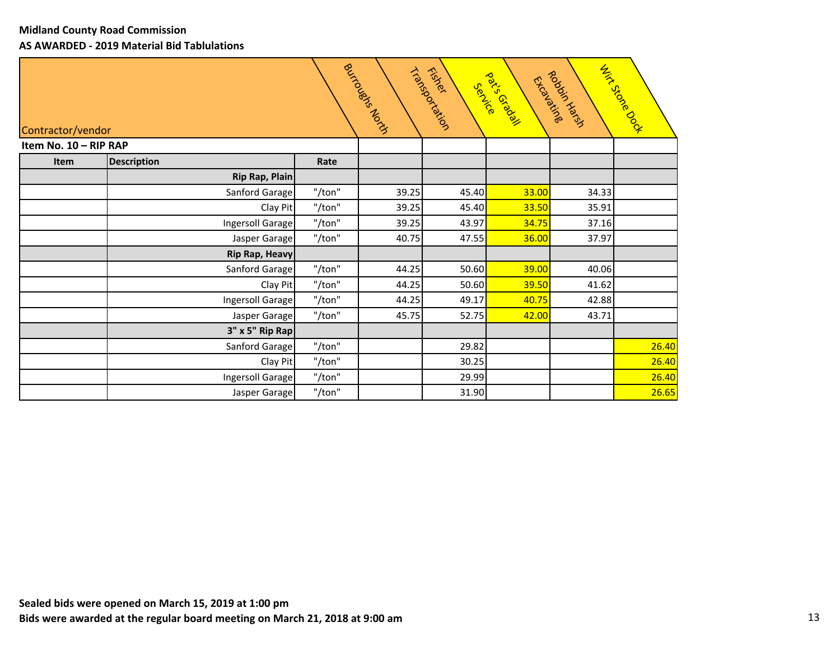| Buyicoupses Abricans<br><b>With Stocks</b><br>Triansportal<br><b>Podosis Library</b><br>rational isot<br>Tricidation<br>Contractor/vendor |                       |        |       |       |              |       |       |
|-------------------------------------------------------------------------------------------------------------------------------------------|-----------------------|--------|-------|-------|--------------|-------|-------|
| Item No. 10 - RIP RAP                                                                                                                     |                       |        |       |       |              |       |       |
| Item                                                                                                                                      | <b>Description</b>    | Rate   |       |       |              |       |       |
|                                                                                                                                           | <b>Rip Rap, Plain</b> |        |       |       |              |       |       |
|                                                                                                                                           | Sanford Garage        | "/ton" | 39.25 | 45.40 | 33.00        | 34.33 |       |
|                                                                                                                                           | Clay Pit              | "/ton" | 39.25 | 45.40 | 33.50        | 35.91 |       |
|                                                                                                                                           | Ingersoll Garage      | "/ton" | 39.25 | 43.97 | 34.75        | 37.16 |       |
|                                                                                                                                           | Jasper Garage         | "/ton" | 40.75 | 47.55 | 36.00        | 37.97 |       |
|                                                                                                                                           | <b>Rip Rap, Heavy</b> |        |       |       |              |       |       |
|                                                                                                                                           | Sanford Garage        | "/ton" | 44.25 | 50.60 | 39.00        | 40.06 |       |
|                                                                                                                                           | Clay Pit              | "/ton" | 44.25 | 50.60 | <b>39.50</b> | 41.62 |       |
|                                                                                                                                           | Ingersoll Garage      | "/ton" | 44.25 | 49.17 | 40.75        | 42.88 |       |
|                                                                                                                                           | Jasper Garage         | "/ton" | 45.75 | 52.75 | 42.00        | 43.71 |       |
|                                                                                                                                           | 3" x 5" Rip Rap       |        |       |       |              |       |       |
|                                                                                                                                           | Sanford Garage        | "/ton" |       | 29.82 |              |       | 26.40 |
|                                                                                                                                           | Clay Pit              | "/ton" |       | 30.25 |              |       | 26.40 |
|                                                                                                                                           | Ingersoll Garage      | "/ton" |       | 29.99 |              |       | 26.40 |
|                                                                                                                                           | Jasper Garage         | "/ton" |       | 31.90 |              |       | 26.65 |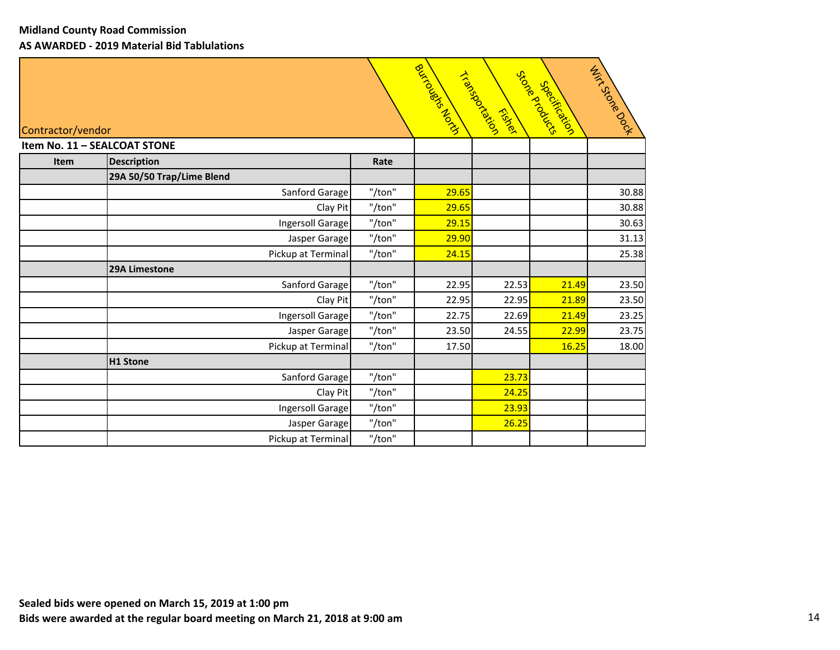| Contractor/vendor            |                           |        | Richards Richard Richard | Triansportal<br>Eisler | Store available<br>Specification | Hirtstoke Book |
|------------------------------|---------------------------|--------|--------------------------|------------------------|----------------------------------|----------------|
| Item No. 11 - SEALCOAT STONE |                           |        |                          |                        |                                  |                |
| Item                         | <b>Description</b>        | Rate   |                          |                        |                                  |                |
|                              | 29A 50/50 Trap/Lime Blend |        |                          |                        |                                  |                |
|                              | Sanford Garage            | "/ton" | 29.65                    |                        |                                  | 30.88          |
|                              | Clay Pit                  | "/ton" | 29.65                    |                        |                                  | 30.88          |
|                              | Ingersoll Garage          | "/ton" | 29.15                    |                        |                                  | 30.63          |
|                              | Jasper Garage             | "/ton" | 29.90                    |                        |                                  | 31.13          |
|                              | Pickup at Terminal        | "/ton" | 24.15                    |                        |                                  | 25.38          |
|                              | 29A Limestone             |        |                          |                        |                                  |                |
|                              | Sanford Garage            | "/ton" | 22.95                    | 22.53                  | 21.49                            | 23.50          |
|                              | Clay Pit                  | "/ton" | 22.95                    | 22.95                  | 21.89                            | 23.50          |
|                              | Ingersoll Garage          | "/ton" | 22.75                    | 22.69                  | 21.49                            | 23.25          |
|                              | Jasper Garage             | "/ton" | 23.50                    | 24.55                  | 22.99                            | 23.75          |
|                              | Pickup at Terminal        | "/ton" | 17.50                    |                        | 16.25                            | 18.00          |
|                              | H1 Stone                  |        |                          |                        |                                  |                |
|                              | Sanford Garage            | "/ton" |                          | 23.73                  |                                  |                |
|                              | Clay Pit                  | "/ton" |                          | 24.25                  |                                  |                |
|                              | Ingersoll Garage          | "/ton" |                          | 23.93                  |                                  |                |
|                              | Jasper Garage             | "/ton" |                          | 26.25                  |                                  |                |
|                              | Pickup at Terminal        | "/ton" |                          |                        |                                  |                |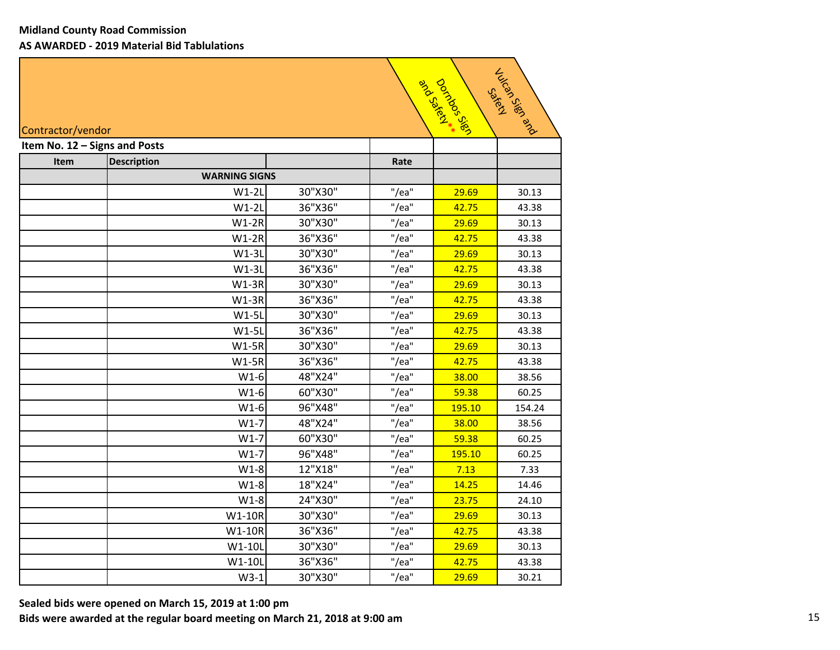| Julion Rep Rep Rep<br>Dorings Sign<br>and Scylister **<br>Saken<br>Contractor/vendor |                               |         |       |        |        |  |  |
|--------------------------------------------------------------------------------------|-------------------------------|---------|-------|--------|--------|--|--|
|                                                                                      | Item No. 12 - Signs and Posts |         |       |        |        |  |  |
| Item                                                                                 | <b>Description</b>            |         | Rate  |        |        |  |  |
|                                                                                      | <b>WARNING SIGNS</b>          |         |       |        |        |  |  |
|                                                                                      | $W1-2L$                       | 30"X30" | "/ea" | 29.69  | 30.13  |  |  |
|                                                                                      | $W1-2L$                       | 36"X36" | "/ea" | 42.75  | 43.38  |  |  |
|                                                                                      | $W1-2R$                       | 30"X30" | "/ea" | 29.69  | 30.13  |  |  |
|                                                                                      | $W1-2R$                       | 36"X36" | "/ea" | 42.75  | 43.38  |  |  |
|                                                                                      | $W1-3L$                       | 30"X30" | "/ea" | 29.69  | 30.13  |  |  |
|                                                                                      | $W1-3L$                       | 36"X36" | "/ea" | 42.75  | 43.38  |  |  |
|                                                                                      | $W1-3R$                       | 30"X30" | "/ea" | 29.69  | 30.13  |  |  |
|                                                                                      | $W1-3R$                       | 36"X36" | "/ea" | 42.75  | 43.38  |  |  |
|                                                                                      | $W1-5L$                       | 30"X30" | "/ea" | 29.69  | 30.13  |  |  |
|                                                                                      | $W1-5L$                       | 36"X36" | "/ea" | 42.75  | 43.38  |  |  |
|                                                                                      | $W1-5R$                       | 30"X30" | "/ea" | 29.69  | 30.13  |  |  |
|                                                                                      | $W1-5R$                       | 36"X36" | "/ea" | 42.75  | 43.38  |  |  |
|                                                                                      | $W1-6$                        | 48"X24" | "/ea" | 38.00  | 38.56  |  |  |
|                                                                                      | $W1-6$                        | 60"X30" | "/ea" | 59.38  | 60.25  |  |  |
|                                                                                      | $W1-6$                        | 96"X48" | "/ea" | 195.10 | 154.24 |  |  |
|                                                                                      | $W1-7$                        | 48"X24" | "/ea" | 38.00  | 38.56  |  |  |
|                                                                                      | $W1-7$                        | 60"X30" | "/ea" | 59.38  | 60.25  |  |  |
|                                                                                      | $W1-7$                        | 96"X48" | "/ea" | 195.10 | 60.25  |  |  |
|                                                                                      | $W1-8$                        | 12"X18" | "/ea" | 7.13   | 7.33   |  |  |
|                                                                                      | $W1-8$                        | 18"X24" | "/ea" | 14.25  | 14.46  |  |  |
|                                                                                      | $W1-8$                        | 24"X30" | "/ea" | 23.75  | 24.10  |  |  |
|                                                                                      | W1-10R                        | 30"X30" | "/ea" | 29.69  | 30.13  |  |  |
|                                                                                      | W1-10R                        | 36"X36" | "/ea" | 42.75  | 43.38  |  |  |
|                                                                                      | W1-10L                        | 30"X30" | "/ea" | 29.69  | 30.13  |  |  |
|                                                                                      | W1-10L                        | 36"X36" | "/ea" | 42.75  | 43.38  |  |  |
|                                                                                      | $W3-1$                        | 30"X30" | "/ea" | 29.69  | 30.21  |  |  |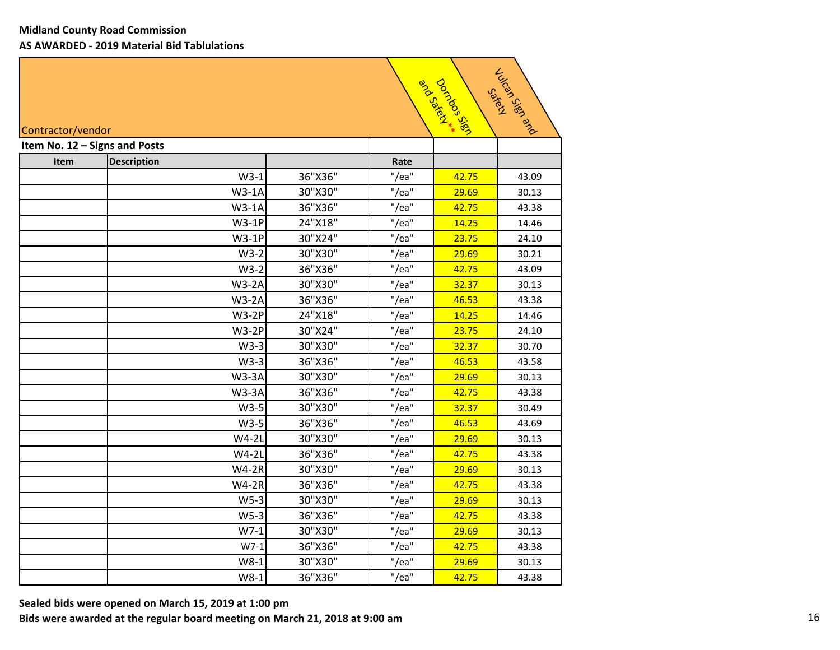| Julian Report<br>Doringos Sign<br>and Scyleim<br>Sakery<br>Contractor/vendor |                               |         |               |       |       |  |  |
|------------------------------------------------------------------------------|-------------------------------|---------|---------------|-------|-------|--|--|
|                                                                              | Item No. 12 - Signs and Posts |         |               |       |       |  |  |
| Item                                                                         | <b>Description</b><br>$W3-1$  | 36"X36" | Rate<br>"/ea" | 42.75 | 43.09 |  |  |
|                                                                              | $W3-1A$                       | 30"X30" | "/ea"         | 29.69 | 30.13 |  |  |
|                                                                              | $W3-1A$                       | 36"X36" | "/ea"         | 42.75 | 43.38 |  |  |
|                                                                              | $W3-1P$                       | 24"X18" | "/ea"         | 14.25 | 14.46 |  |  |
|                                                                              | $W3-1P$                       | 30"X24" | "/ea"         | 23.75 | 24.10 |  |  |
|                                                                              | $W3-2$                        | 30"X30" | "/ea"         | 29.69 | 30.21 |  |  |
|                                                                              | $W3-2$                        | 36"X36" | "/ea"         | 42.75 | 43.09 |  |  |
|                                                                              | $W3-2A$                       | 30"X30" | "/ea"         | 32.37 | 30.13 |  |  |
|                                                                              | $W3-2A$                       | 36"X36" | "/ea"         | 46.53 | 43.38 |  |  |
|                                                                              | <b>W3-2P</b>                  | 24"X18" | "/ea"         | 14.25 | 14.46 |  |  |
|                                                                              | <b>W3-2P</b>                  | 30"X24" | "/ea"         | 23.75 | 24.10 |  |  |
|                                                                              | $W3-3$                        | 30"X30" | "/ea"         | 32.37 | 30.70 |  |  |
|                                                                              | $W3-3$                        | 36"X36" | "/ea"         | 46.53 | 43.58 |  |  |
|                                                                              | $W3-3A$                       | 30"X30" | "/ea"         | 29.69 | 30.13 |  |  |
|                                                                              | $W3-3A$                       | 36"X36" | "/ea"         | 42.75 | 43.38 |  |  |
|                                                                              | $W3-5$                        | 30"X30" | "/ea"         | 32.37 | 30.49 |  |  |
|                                                                              | $W3-5$                        | 36"X36" | "/ea"         | 46.53 | 43.69 |  |  |
|                                                                              | $W4-2L$                       | 30"X30" | "/ea"         | 29.69 | 30.13 |  |  |
|                                                                              | $W4-2L$                       | 36"X36" | "/ea"         | 42.75 | 43.38 |  |  |
|                                                                              | $W4-2R$                       | 30"X30" | "/ea"         | 29.69 | 30.13 |  |  |
|                                                                              | $W4-2R$                       | 36"X36" | "/ea"         | 42.75 | 43.38 |  |  |
|                                                                              | $W5-3$                        | 30"X30" | "/ea"         | 29.69 | 30.13 |  |  |
|                                                                              | $W5-3$                        | 36"X36" | "/ea"         | 42.75 | 43.38 |  |  |
|                                                                              | $W7-1$                        | 30"X30" | "/ea"         | 29.69 | 30.13 |  |  |
|                                                                              | $W7-1$                        | 36"X36" | "/ea"         | 42.75 | 43.38 |  |  |
|                                                                              | $W8-1$                        | 30"X30" | "/ea"         | 29.69 | 30.13 |  |  |
|                                                                              | $W8-1$                        | 36"X36" | "/ea"         | 42.75 | 43.38 |  |  |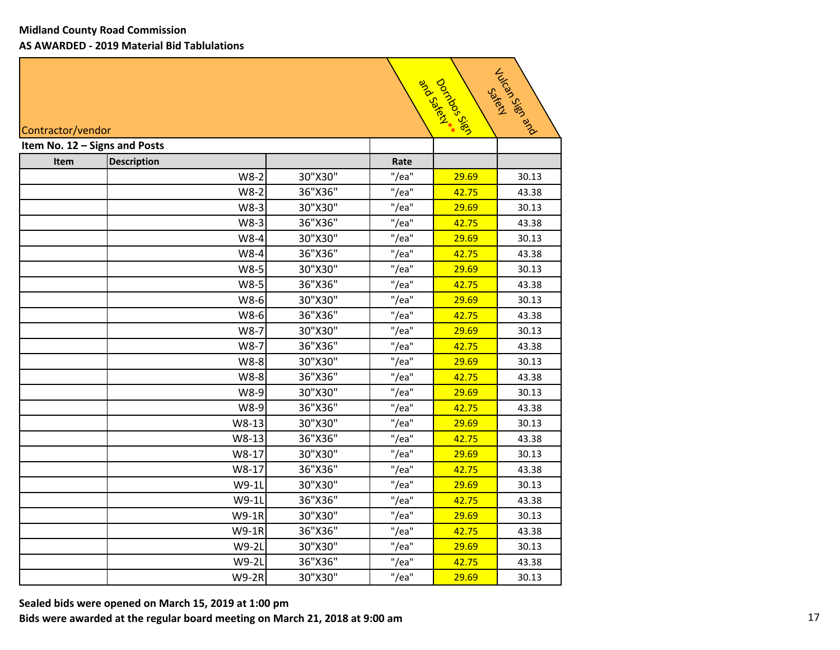| July 03/67 och<br>Docivoos<br>and Scotland<br><b>SakeM</b><br>Contractor/vendor |                               |         |       |       |       |  |  |
|---------------------------------------------------------------------------------|-------------------------------|---------|-------|-------|-------|--|--|
|                                                                                 | Item No. 12 - Signs and Posts |         |       |       |       |  |  |
| Item                                                                            | <b>Description</b>            |         | Rate  |       |       |  |  |
|                                                                                 | $W8-2$                        | 30"X30" | "/ea" | 29.69 | 30.13 |  |  |
|                                                                                 | $W8-2$                        | 36"X36" | "/ea" | 42.75 | 43.38 |  |  |
|                                                                                 | $W8-3$                        | 30"X30" | "/ea" | 29.69 | 30.13 |  |  |
|                                                                                 | W8-3                          | 36"X36" | "/ea" | 42.75 | 43.38 |  |  |
|                                                                                 | W8-4                          | 30"X30" | "/ea" | 29.69 | 30.13 |  |  |
|                                                                                 | W8-4                          | 36"X36" | "/ea" | 42.75 | 43.38 |  |  |
|                                                                                 | W8-5                          | 30"X30" | "/ea" | 29.69 | 30.13 |  |  |
|                                                                                 | W8-5                          | 36"X36" | "/ea" | 42.75 | 43.38 |  |  |
|                                                                                 | W8-6                          | 30"X30" | "/ea" | 29.69 | 30.13 |  |  |
|                                                                                 | W8-6                          | 36"X36" | "/ea" | 42.75 | 43.38 |  |  |
|                                                                                 | W8-7                          | 30"X30" | "/ea" | 29.69 | 30.13 |  |  |
|                                                                                 | W8-7                          | 36"X36" | "/ea" | 42.75 | 43.38 |  |  |
|                                                                                 | W8-8                          | 30"X30" | "/ea" | 29.69 | 30.13 |  |  |
|                                                                                 | W8-8                          | 36"X36" | "/ea" | 42.75 | 43.38 |  |  |
|                                                                                 | W8-9                          | 30"X30" | "/ea" | 29.69 | 30.13 |  |  |
|                                                                                 | W8-9                          | 36"X36" | "/ea" | 42.75 | 43.38 |  |  |
|                                                                                 | W8-13                         | 30"X30" | "/ea" | 29.69 | 30.13 |  |  |
|                                                                                 | W8-13                         | 36"X36" | "/ea" | 42.75 | 43.38 |  |  |
|                                                                                 | W8-17                         | 30"X30" | "/ea" | 29.69 | 30.13 |  |  |
|                                                                                 | W8-17                         | 36"X36" | "/ea" | 42.75 | 43.38 |  |  |
|                                                                                 | W9-1L                         | 30"X30" | "/ea" | 29.69 | 30.13 |  |  |
|                                                                                 | W9-1L                         | 36"X36" | "/ea" | 42.75 | 43.38 |  |  |
|                                                                                 | W9-1R                         | 30"X30" | "/ea" | 29.69 | 30.13 |  |  |
|                                                                                 | W9-1R                         | 36"X36" | "/ea" | 42.75 | 43.38 |  |  |
|                                                                                 | W9-2L                         | 30"X30" | "/ea" | 29.69 | 30.13 |  |  |
|                                                                                 | W9-2L                         | 36"X36" | "/ea" | 42.75 | 43.38 |  |  |
|                                                                                 | <b>W9-2R</b>                  | 30"X30" | "/ea" | 29.69 | 30.13 |  |  |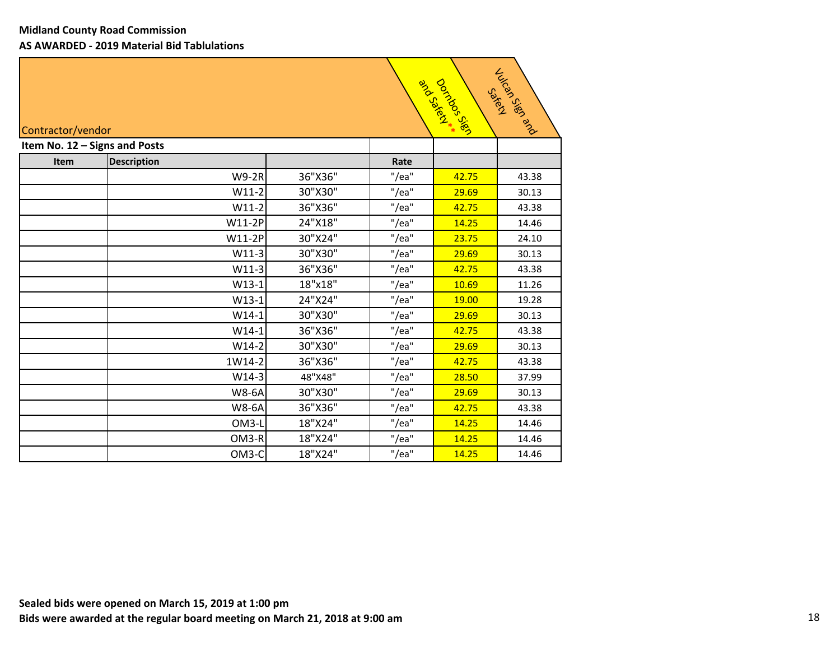|      | Jack Jack<br>Doctors 3982<br>art Arayaco<br>Satis<br>Contractor/vendor |         |       |       |       |  |  |  |
|------|------------------------------------------------------------------------|---------|-------|-------|-------|--|--|--|
|      | Item No. 12 - Signs and Posts                                          |         |       |       |       |  |  |  |
| Item | <b>Description</b>                                                     |         | Rate  |       |       |  |  |  |
|      | <b>W9-2R</b>                                                           | 36"X36" | "/ea" | 42.75 | 43.38 |  |  |  |
|      | $W11-2$                                                                | 30"X30" | "/ea" | 29.69 | 30.13 |  |  |  |
|      | $W11-2$                                                                | 36"X36" | "/ea" | 42.75 | 43.38 |  |  |  |
|      | W11-2P                                                                 | 24"X18" | "/ea" | 14.25 | 14.46 |  |  |  |
|      | W11-2P                                                                 | 30"X24" | "/ea" | 23.75 | 24.10 |  |  |  |
|      | $W11-3$                                                                | 30"X30" | "/ea" | 29.69 | 30.13 |  |  |  |
|      | $W11-3$                                                                | 36"X36" | "/ea" | 42.75 | 43.38 |  |  |  |
|      | $W13-1$                                                                | 18"x18" | "/ea" | 10.69 | 11.26 |  |  |  |
|      | $W13-1$                                                                | 24"X24" | "/ea" | 19.00 | 19.28 |  |  |  |
|      | $W14-1$                                                                | 30"X30" | "/ea" | 29.69 | 30.13 |  |  |  |
|      | $W14-1$                                                                | 36"X36" | "/ea" | 42.75 | 43.38 |  |  |  |
|      | $W14-2$                                                                | 30"X30" | "/ea" | 29.69 | 30.13 |  |  |  |
|      | 1W14-2                                                                 | 36"X36" | "/ea" | 42.75 | 43.38 |  |  |  |
|      | $W14-3$                                                                | 48"X48" | "/ea" | 28.50 | 37.99 |  |  |  |
|      | <b>W8-6A</b>                                                           | 30"X30" | "/ea" | 29.69 | 30.13 |  |  |  |
|      | <b>W8-6A</b>                                                           | 36"X36" | "/ea" | 42.75 | 43.38 |  |  |  |
|      | OM3-L                                                                  | 18"X24" | "/ea" | 14.25 | 14.46 |  |  |  |
|      | OM3-R                                                                  | 18"X24" | "/ea" | 14.25 | 14.46 |  |  |  |
|      | OM3-C                                                                  | 18"X24" | "/ea" | 14.25 | 14.46 |  |  |  |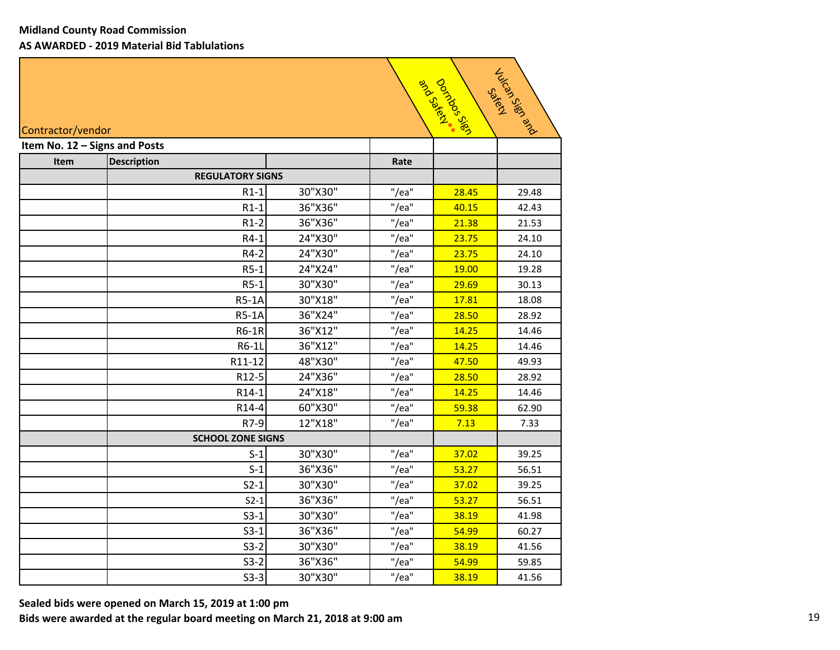| Julion Rep Rep Brd<br>Dorings 3.88<br>and Scyled **<br><b>SakeM</b><br>Contractor/vendor |                               |         |       |       |       |  |  |
|------------------------------------------------------------------------------------------|-------------------------------|---------|-------|-------|-------|--|--|
|                                                                                          | Item No. 12 - Signs and Posts |         |       |       |       |  |  |
| Item                                                                                     | <b>Description</b>            |         | Rate  |       |       |  |  |
|                                                                                          | <b>REGULATORY SIGNS</b>       |         |       |       |       |  |  |
|                                                                                          | $R1-1$                        | 30"X30" | "/ea" | 28.45 | 29.48 |  |  |
|                                                                                          | $R1-1$                        | 36"X36" | "/ea" | 40.15 | 42.43 |  |  |
|                                                                                          | $R1-2$                        | 36"X36" | "/ea" | 21.38 | 21.53 |  |  |
|                                                                                          | $R4-1$                        | 24"X30" | "/ea" | 23.75 | 24.10 |  |  |
|                                                                                          | R4-2                          | 24"X30" | "/ea" | 23.75 | 24.10 |  |  |
|                                                                                          | $R5-1$                        | 24"X24" | "/ea" | 19.00 | 19.28 |  |  |
|                                                                                          | $R5-1$                        | 30"X30" | "/ea" | 29.69 | 30.13 |  |  |
|                                                                                          | <b>R5-1A</b>                  | 30"X18" | "/ea" | 17.81 | 18.08 |  |  |
|                                                                                          | <b>R5-1A</b>                  | 36"X24" | "/ea" | 28.50 | 28.92 |  |  |
|                                                                                          | <b>R6-1R</b>                  | 36"X12" | "/ea" | 14.25 | 14.46 |  |  |
|                                                                                          | R6-1L                         | 36"X12" | "/ea" | 14.25 | 14.46 |  |  |
|                                                                                          | R11-12                        | 48"X30" | "/ea" | 47.50 | 49.93 |  |  |
|                                                                                          | R12-5                         | 24"X36" | "/ea" | 28.50 | 28.92 |  |  |
|                                                                                          | R14-1                         | 24"X18" | "/ea" | 14.25 | 14.46 |  |  |
|                                                                                          | R14-4                         | 60"X30" | "/ea" | 59.38 | 62.90 |  |  |
|                                                                                          | R7-9                          | 12"X18" | "/ea" | 7.13  | 7.33  |  |  |
|                                                                                          | <b>SCHOOL ZONE SIGNS</b>      |         |       |       |       |  |  |
|                                                                                          | $S-1$                         | 30"X30" | "/ea" | 37.02 | 39.25 |  |  |
|                                                                                          | $S-1$                         | 36"X36" | "/ea" | 53.27 | 56.51 |  |  |
|                                                                                          | $S2-1$                        | 30"X30" | "/ea" | 37.02 | 39.25 |  |  |
|                                                                                          | $S2-1$                        | 36"X36" | "/ea" | 53.27 | 56.51 |  |  |
|                                                                                          | $S3-1$                        | 30"X30" | "/ea" | 38.19 | 41.98 |  |  |
|                                                                                          | $S3-1$                        | 36"X36" | "/ea" | 54.99 | 60.27 |  |  |
|                                                                                          | $S3-2$                        | 30"X30" | "/ea" | 38.19 | 41.56 |  |  |
|                                                                                          | $S3-2$                        | 36"X36" | "/ea" | 54.99 | 59.85 |  |  |
|                                                                                          | $S3-3$                        | 30"X30" | "/ea" | 38.19 | 41.56 |  |  |